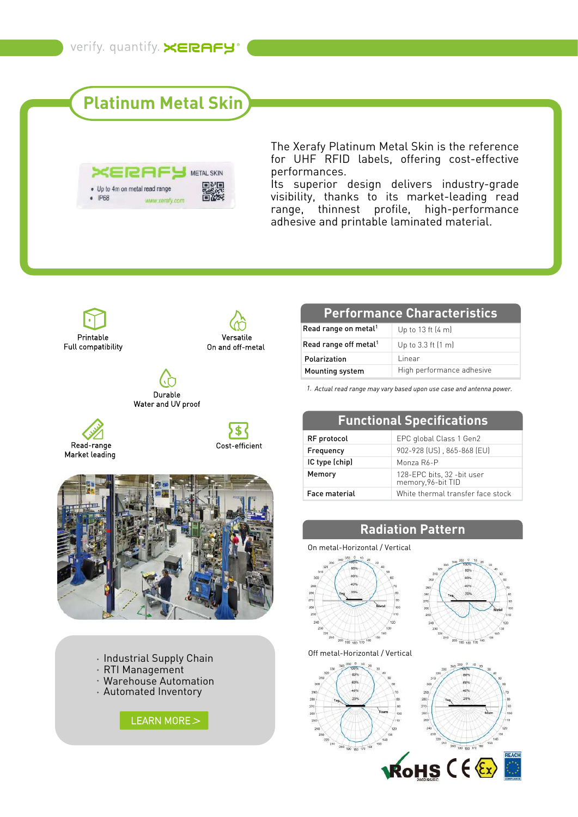# **Platinum Metal Skin**



The Xerafy Platinum Metal Skin is the reference for UHF RFID labels, offering cost-effective performances.

Its superior design delivers industry-grade visibility, thanks to its market-leading read range, thinnest profile, high-performance adhesive and printable laminated material.



- RTI Management
- Warehouse Automation
- Automated Inventory



#### **Performance Characteristics**

| Read range on metal <sup>1</sup>  | Up to 13 ft $(4 \text{ m})$ |
|-----------------------------------|-----------------------------|
| Read range off metal <sup>1</sup> | Up to 3.3 ft (1 m)          |
| Polarization                      | Linear                      |
| Mounting system                   | High performance adhesive   |

*1. Actual read range may vary based upon use case and antenna power.*

| <b>Functional Specifications</b> |                                                   |  |
|----------------------------------|---------------------------------------------------|--|
| RF protocol                      | EPC global Class 1 Gen2                           |  |
| Frequency                        | 902-928 (US), 865-868 (EU)                        |  |
| IC type (chip)                   | Monza R6-P                                        |  |
| Memory                           | 128-EPC bits, 32 - bit user<br>memory, 96-bit TID |  |
| <b>Face material</b>             | White thermal transfer face stock                 |  |

### **Radiation Pattern**

#### On metal-Horizontal / Vertical





Off metal-Horizontal / Vertical